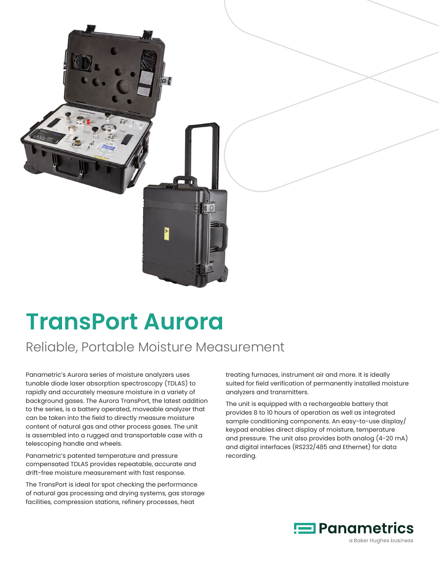

## **TransPort Aurora**

## Reliable, Portable Moisture Measurement

Panametric's Aurora series of moisture analyzers uses tunable diode laser absorption spectroscopy (TDLAS) to rapidly and accurately measure moisture in a variety of background gases. The Aurora TransPort, the latest addition to the series, is a battery operated, moveable analyzer that can be taken into the field to directly measure moisture content of natural gas and other process gases. The unit is assembled into a rugged and transportable case with a telescoping handle and wheels.

Panametric's patented temperature and pressure compensated TDLAS provides repeatable, accurate and drift-free moisture measurement with fast response.

The TransPort is ideal for spot checking the performance of natural gas processing and drying systems, gas storage facilities, compression stations, refinery processes, heat

treating furnaces, instrument air and more. It is ideally suited for field verification of permanently installed moisture analyzers and transmitters.

The unit is equipped with a rechargeable battery that provides 8 to 10 hours of operation as well as integrated sample conditioning components. An easy-to-use display/ keypad enables direct display of moisture, temperature and pressure. The unit also provides both analog (4-20 mA) and digital interfaces (RS232/485 and Ethernet) for data recording.